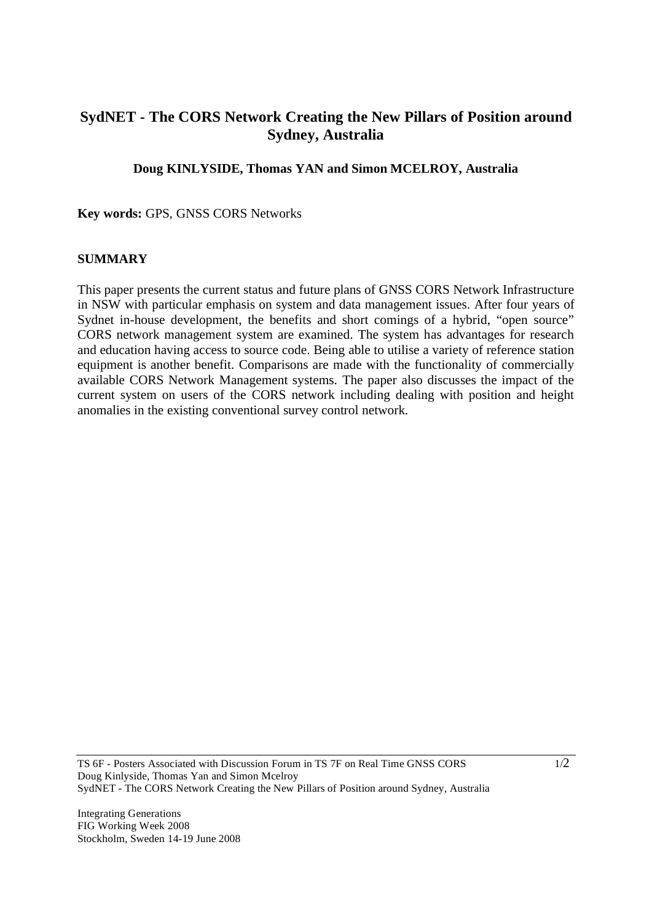## **SydNET - The CORS Network Creating the New Pillars of Position around Sydney, Australia**

**Doug KINLYSIDE, Thomas YAN and Simon MCELROY, Australia** 

**Key words:** GPS, GNSS CORS Networks

## **SUMMARY**

This paper presents the current status and future plans of GNSS CORS Network Infrastructure in NSW with particular emphasis on system and data management issues. After four years of Sydnet in-house development, the benefits and short comings of a hybrid, "open source" CORS network management system are examined. The system has advantages for research and education having access to source code. Being able to utilise a variety of reference station equipment is another benefit. Comparisons are made with the functionality of commercially available CORS Network Management systems. The paper also discusses the impact of the current system on users of the CORS network including dealing with position and height anomalies in the existing conventional survey control network.

TS 6F - Posters Associated with Discussion Forum in TS 7F on Real Time GNSS CORS Doug Kinlyside, Thomas Yan and Simon Mcelroy SydNET - The CORS Network Creating the New Pillars of Position around Sydney, Australia  $1/2$ 

Integrating Generations

FIG Working Week 2008 Stockholm, Sweden 14-19 June 2008